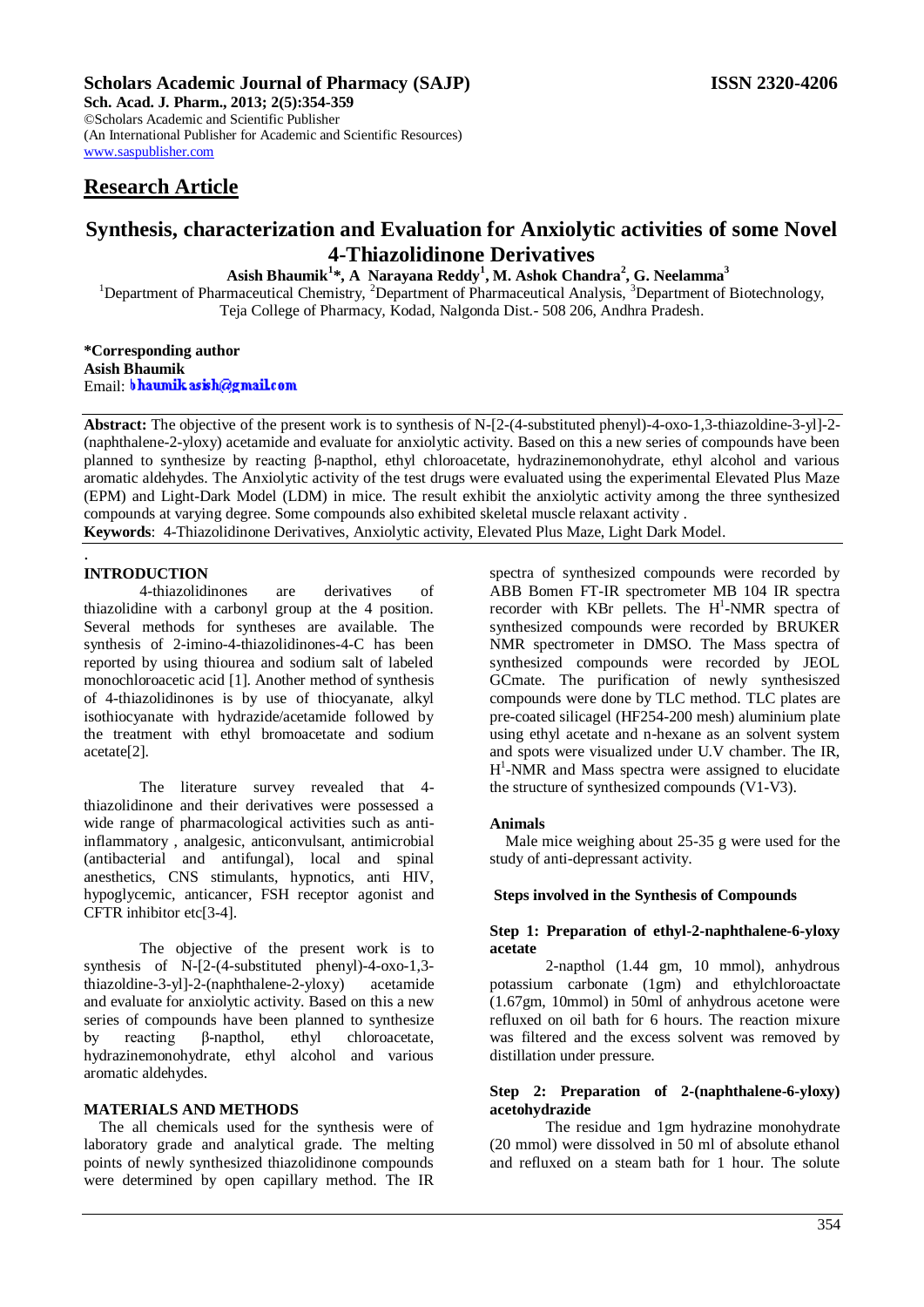# **Scholars Academic Journal of Pharmacy (SAJP) ISSN 2320-4206**

**Sch. Acad. J. Pharm., 2013; 2(5):354-359** ©Scholars Academic and Scientific Publisher (An International Publisher for Academic and Scientific Resources) [www.saspublisher.com](http://www.saspublisher.com/) 

# **Research Article**

# **Synthesis, characterization and Evaluation for Anxiolytic activities of some Novel 4-Thiazolidinone Derivatives**

**Asish Bhaumik<sup>1</sup> \*, A Narayana Reddy<sup>1</sup> , M. Ashok Chandra<sup>2</sup> , G. Neelamma<sup>3</sup>**

<sup>1</sup>Department of Pharmaceutical Chemistry, <sup>2</sup>Department of Pharmaceutical Analysis, <sup>3</sup>Department of Biotechnology, Teja College of Pharmacy*,* Kodad*,* Nalgonda Dist.- 508 206, Andhra Pradesh.

**\*Corresponding author Asish Bhaumik** Email: bhaumik as ish@gmail.com

**Abstract:** The objective of the present work is to synthesis of N-[2-(4-substituted phenyl)-4-oxo-1,3-thiazoldine-3-yl]-2- (naphthalene-2-yloxy) acetamide and evaluate for anxiolytic activity. Based on this a new series of compounds have been planned to synthesize by reacting β-napthol, ethyl chloroacetate, hydrazinemonohydrate, ethyl alcohol and various aromatic aldehydes. The Anxiolytic activity of the test drugs were evaluated using the experimental Elevated Plus Maze (EPM) and Light-Dark Model (LDM) in mice. The result exhibit the anxiolytic activity among the three synthesized compounds at varying degree. Some compounds also exhibited skeletal muscle relaxant activity . **Keywords**: 4-Thiazolidinone Derivatives, Anxiolytic activity, Elevated Plus Maze, Light Dark Model.

. **INTRODUCTION**

4-thiazolidinones are derivatives of thiazolidine with a carbonyl group at the 4 position. Several methods for syntheses are available. The synthesis of 2-imino-4-thiazolidinones-4-C has been reported by using thiourea and sodium salt of labeled monochloroacetic acid [1]. Another method of synthesis of 4-thiazolidinones is by use of thiocyanate, alkyl isothiocyanate with hydrazide/acetamide followed by the treatment with ethyl bromoacetate and sodium acetate[2].

The literature survey revealed that 4 thiazolidinone and their derivatives were possessed a wide range of pharmacological activities such as antiinflammatory , analgesic, anticonvulsant, antimicrobial (antibacterial and antifungal), local and spinal anesthetics, CNS stimulants, hypnotics, anti HIV, hypoglycemic, anticancer, FSH receptor agonist and CFTR inhibitor etc[3-4].

The objective of the present work is to synthesis of N-[2-(4-substituted phenyl)-4-oxo-1,3 thiazoldine-3-yl]-2-(naphthalene-2-yloxy) acetamide and evaluate for anxiolytic activity. Based on this a new series of compounds have been planned to synthesize by reacting β-napthol, ethyl chloroacetate, hydrazinemonohydrate, ethyl alcohol and various aromatic aldehydes.

### **MATERIALS AND METHODS**

The all chemicals used for the synthesis were of laboratory grade and analytical grade. The melting points of newly synthesized thiazolidinone compounds were determined by open capillary method. The IR spectra of synthesized compounds were recorded by ABB Bomen FT-IR spectrometer MB 104 IR spectra recorder with KBr pellets. The  $H^1$ -NMR spectra of synthesized compounds were recorded by BRUKER NMR spectrometer in DMSO. The Mass spectra of synthesized compounds were recorded by JEOL GCmate. The purification of newly synthesiszed compounds were done by TLC method. TLC plates are pre-coated silicagel (HF254-200 mesh) aluminium plate using ethyl acetate and n-hexane as an solvent system and spots were visualized under U.V chamber. The IR, H<sup>1</sup>-NMR and Mass spectra were assigned to elucidate the structure of synthesized compounds (V1-V3).

#### **Animals**

Male mice weighing about 25-35 g were used for the study of anti-depressant activity.

#### **Steps involved in the Synthesis of Compounds**

## **Step 1: Preparation of ethyl-2-naphthalene-6-yloxy acetate**

2-napthol (1.44 gm, 10 mmol), anhydrous potassium carbonate (1gm) and ethylchloroactate (1.67gm, 10mmol) in 50ml of anhydrous acetone were refluxed on oil bath for 6 hours. The reaction mixure was filtered and the excess solvent was removed by distillation under pressure.

### **Step 2: Preparation of 2-(naphthalene-6-yloxy) acetohydrazide**

The residue and 1gm hydrazine monohydrate (20 mmol) were dissolved in 50 ml of absolute ethanol and refluxed on a steam bath for 1 hour. The solute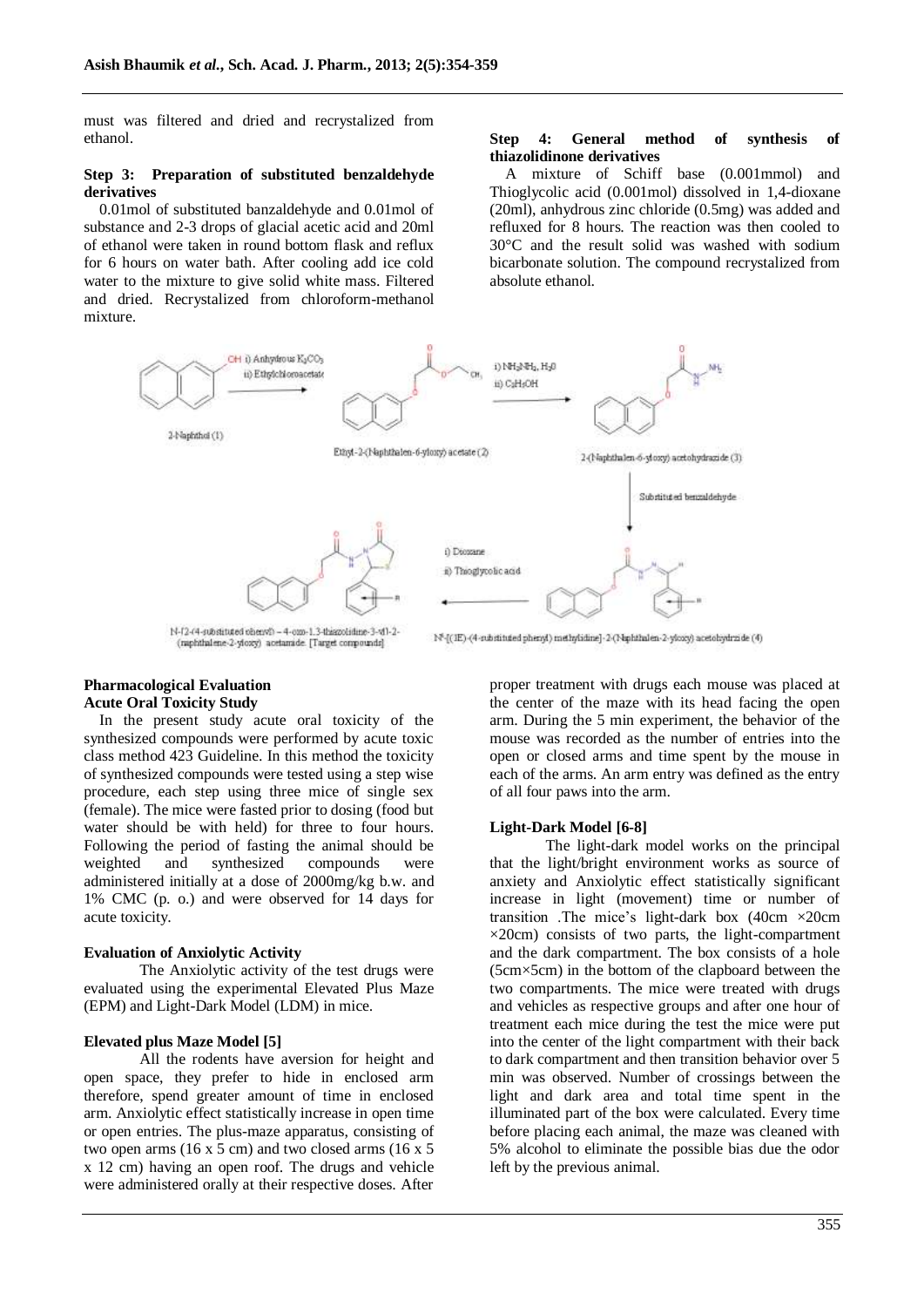must was filtered and dried and recrystalized from ethanol.

#### **Step 3: Preparation of substituted benzaldehyde derivatives**

0.01mol of substituted banzaldehyde and 0.01mol of substance and 2-3 drops of glacial acetic acid and 20ml of ethanol were taken in round bottom flask and reflux for 6 hours on water bath. After cooling add ice cold water to the mixture to give solid white mass. Filtered and dried. Recrystalized from chloroform-methanol mixture.

#### **Step 4: General method of synthesis of thiazolidinone derivatives**

A mixture of Schiff base (0.001mmol) and Thioglycolic acid (0.001mol) dissolved in 1,4-dioxane (20ml), anhydrous zinc chloride (0.5mg) was added and refluxed for 8 hours. The reaction was then cooled to 30°C and the result solid was washed with sodium bicarbonate solution. The compound recrystalized from absolute ethanol.



#### **Pharmacological Evaluation Acute Oral Toxicity Study**

In the present study acute oral toxicity of the synthesized compounds were performed by acute toxic class method 423 Guideline. In this method the toxicity of synthesized compounds were tested using a step wise procedure, each step using three mice of single sex (female). The mice were fasted prior to dosing (food but water should be with held) for three to four hours. Following the period of fasting the animal should be weighted and synthesized compounds were administered initially at a dose of 2000mg/kg b.w. and 1% CMC (p. o.) and were observed for 14 days for acute toxicity.

#### **Evaluation of Anxiolytic Activity**

The Anxiolytic activity of the test drugs were evaluated using the experimental Elevated Plus Maze (EPM) and Light-Dark Model (LDM) in mice.

## **Elevated plus Maze Model [5]**

All the rodents have aversion for height and open space, they prefer to hide in enclosed arm therefore, spend greater amount of time in enclosed arm. Anxiolytic effect statistically increase in open time or open entries. The plus-maze apparatus, consisting of two open arms  $(16 \times 5 \text{ cm})$  and two closed arms  $(16 \times 5 \text{ cm})$ x 12 cm) having an open roof. The drugs and vehicle were administered orally at their respective doses. After

proper treatment with drugs each mouse was placed at the center of the maze with its head facing the open arm. During the 5 min experiment, the behavior of the mouse was recorded as the number of entries into the open or closed arms and time spent by the mouse in each of the arms. An arm entry was defined as the entry of all four paws into the arm.

## **Light-Dark Model [6-8]**

The light-dark model works on the principal that the light/bright environment works as source of anxiety and Anxiolytic effect statistically significant increase in light (movement) time or number of transition .The mice"s light-dark box (40cm ×20cm ×20cm) consists of two parts, the light-compartment and the dark compartment. The box consists of a hole (5cm×5cm) in the bottom of the clapboard between the two compartments. The mice were treated with drugs and vehicles as respective groups and after one hour of treatment each mice during the test the mice were put into the center of the light compartment with their back to dark compartment and then transition behavior over 5 min was observed. Number of crossings between the light and dark area and total time spent in the illuminated part of the box were calculated. Every time before placing each animal, the maze was cleaned with 5% alcohol to eliminate the possible bias due the odor left by the previous animal.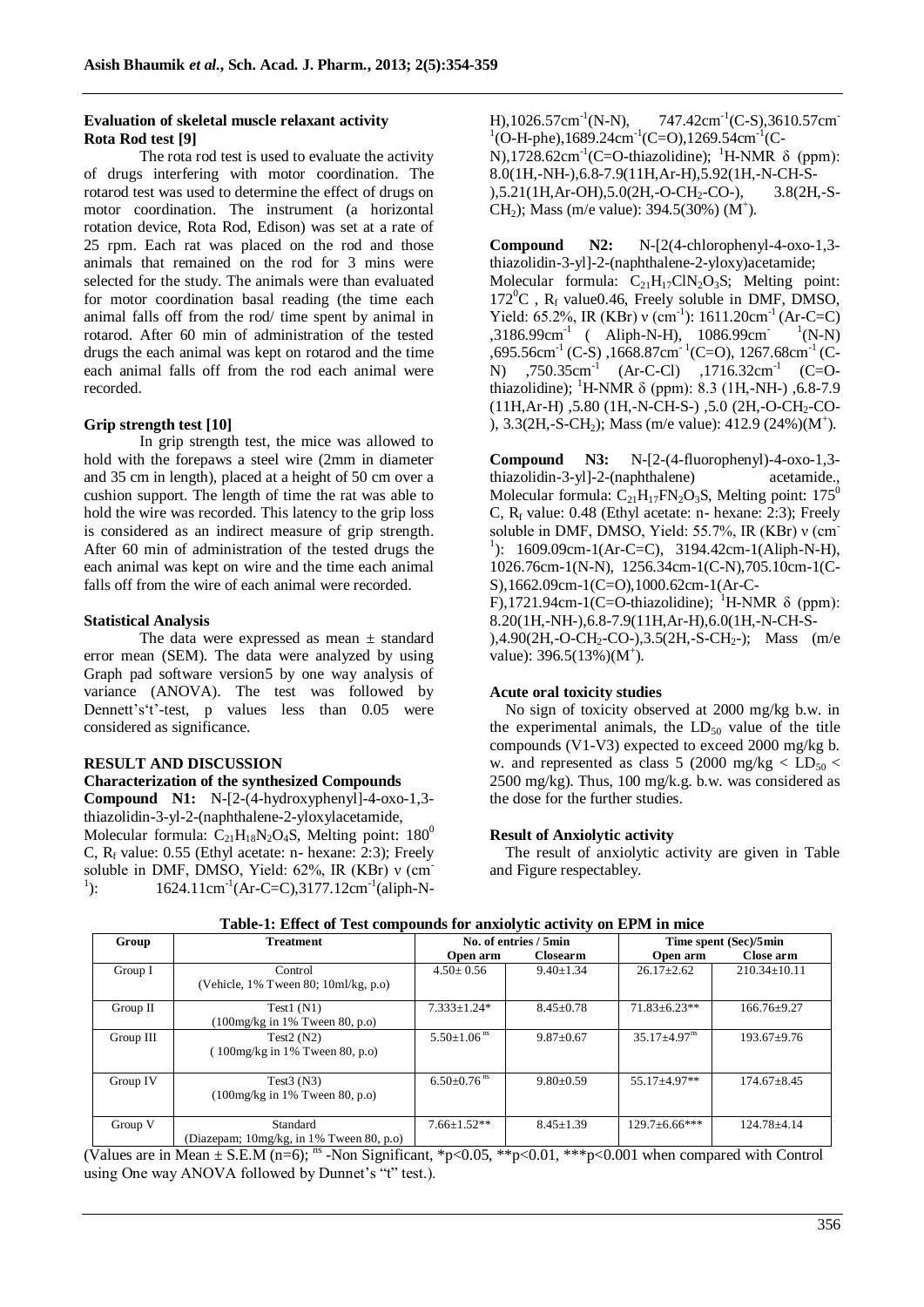## **Evaluation of skeletal muscle relaxant activity Rota Rod test [9]**

The rota rod test is used to evaluate the activity of drugs interfering with motor coordination. The rotarod test was used to determine the effect of drugs on motor coordination. The instrument (a horizontal rotation device, Rota Rod, Edison) was set at a rate of 25 rpm. Each rat was placed on the rod and those animals that remained on the rod for 3 mins were selected for the study. The animals were than evaluated for motor coordination basal reading (the time each animal falls off from the rod/ time spent by animal in rotarod. After 60 min of administration of the tested drugs the each animal was kept on rotarod and the time each animal falls off from the rod each animal were recorded.

# **Grip strength test [10]**

In grip strength test, the mice was allowed to hold with the forepaws a steel wire (2mm in diameter and 35 cm in length), placed at a height of 50 cm over a cushion support. The length of time the rat was able to hold the wire was recorded. This latency to the grip loss is considered as an indirect measure of grip strength. After 60 min of administration of the tested drugs the each animal was kept on wire and the time each animal falls off from the wire of each animal were recorded.

# **Statistical Analysis**

The data were expressed as mean ± standard error mean (SEM). The data were analyzed by using Graph pad software version5 by one way analysis of variance (ANOVA). The test was followed by Dennett's 't'-test, p values less than 0.05 were considered as significance.

# **RESULT AND DISCUSSION**

#### **Characterization of the synthesized Compounds Compound N1:** N-[2-(4-hydroxyphenyl]-4-oxo-1,3 thiazolidin-3-yl-2-(naphthalene-2-yloxylacetamide, Molecular formula:  $C_{21}H_{18}N_2O_4S$ , Melting point: 180<sup>0</sup> C,  $R_f$  value: 0.55 (Ethyl acetate: n- hexane: 2:3); Freely soluble in DMF, DMSO, Yield: 62%, IR (KBr) ν (cm- $^{1}$ ):  $\therefore$  1624.11cm<sup>-1</sup>(Ar-C=C),3177.12cm<sup>-1</sup>(aliph-N-

H),  $1026.57 \text{cm}^{-1}$ (N-N),  $(N-N)$ , 747.42cm<sup>-1</sup>(C-S),3610.57cm<sup>-1</sup>  ${}^{1}$ (O-H-phe),1689.24cm<sup>-1</sup>(C=O),1269.54cm<sup>-1</sup>(C-N),1728.62cm<sup>-1</sup>(C=O-thiazolidine); <sup>1</sup>H-NMR δ (ppm): 8.0(1H,-NH-),6.8-7.9(11H,Ar-H),5.92(1H,-N-CH-S- ),5.21(1H,Ar-OH),5.0(2H,-O-CH<sub>2</sub>-CO-), 3.8(2H,-S-CH<sub>2</sub>); Mass (m/e value):  $394.5(30%) (M^+)$ .

**Compound N2:** N-[2(4-chlorophenyl-4-oxo-1,3 thiazolidin-3-yl]-2-(naphthalene-2-yloxy)acetamide; Molecular formula:  $C_{21}H_{17}CIN_2O_3S$ ; Melting point:  $172^0C$ , R<sub>f</sub> value0.46, Freely soluble in DMF, DMSO, Yield: 65.2%, IR (KBr) v (cm<sup>-1</sup>): 1611.20cm<sup>-1</sup> (Ar-C=C)  $,3186.99cm^{-1}$  ( Aliph-N-H),  $1086.99cm^{-1}$  $\rm N-N$  $,695.56$ cm<sup>-1</sup> (C-S),  $,1668.87$ cm<sup>-1</sup> (C=O),  $,1267.68$ cm<sup>-1</sup> (C-N)  $.750.35cm^{-1}$  (Ar-C-Cl)  $.1716.32cm^{-1}$  (C=Othiazolidine); <sup>1</sup>H-NMR δ (ppm): 8.3 (1H,-NH-), 6.8-7.9 (11H,Ar-H), 5.80 (1H,-N-CH-S-), 5.0 (2H,-O-CH<sub>2</sub>-CO-), 3.3(2H,-S-CH<sub>2</sub>); Mass (m/e value): 412.9 (24%)(M<sup>+</sup>).

**Compound N3:** N-[2-(4-fluorophenyl)-4-oxo-1,3 thiazolidin-3-yl]-2-(naphthalene) acetamide., Molecular formula:  $C_{21}H_{17}FN_2O_3S$ , Melting point: 175<sup>0</sup> C,  $R_f$  value: 0.48 (Ethyl acetate: n- hexane: 2:3); Freely soluble in DMF, DMSO, Yield: 55.7%, IR (KBr) ν (cm-<sup>1</sup>): 1609.09cm-1(Ar-C=C), 3194.42cm-1(Aliph-N-H), 1026.76cm-1(N-N), 1256.34cm-1(C-N),705.10cm-1(C-S),1662.09cm-1(C=O),1000.62cm-1(Ar-C-F),1721.94cm-1(C=O-thiazolidine); <sup>1</sup>H-NMR  $\delta$  (ppm): 8.20(1H,-NH-),6.8-7.9(11H,Ar-H),6.0(1H,-N-CH-S-  $),4.90(2H,-O-CH_2-CO-),3.5(2H,-S-CH_2-);$  Mass (m/e value):  $396.5(13%) (M^{\dagger})$ .

## **Acute oral toxicity studies**

No sign of toxicity observed at 2000 mg/kg b.w. in the experimental animals, the  $LD_{50}$  value of the title compounds (V1-V3) expected to exceed 2000 mg/kg b. w. and represented as class 5 (2000 mg/kg  $\lt$  LD<sub>50</sub>  $\lt$ 2500 mg/kg). Thus, 100 mg/k.g. b.w. was considered as the dose for the further studies.

## **Result of Anxiolytic activity**

The result of anxiolytic activity are given in Table and Figure respectabley.

| Tuble 1: Enter of Test compounds for unaforgive activity on El British Co |                                                                           |                               |                 |                                |                    |
|---------------------------------------------------------------------------|---------------------------------------------------------------------------|-------------------------------|-----------------|--------------------------------|--------------------|
| Group                                                                     | <b>Treatment</b>                                                          | No. of entries / 5min         |                 | Time spent (Sec)/5min          |                    |
|                                                                           |                                                                           | Open arm                      | <b>Closearm</b> | Open arm                       | Close arm          |
| Group I                                                                   | Control<br>(Vehicle, $1\%$ Tween 80; $10$ ml/kg, p.o)                     | $4.50 \pm 0.56$               | $9.40 \pm 1.34$ | $26.17 \pm 2.62$               | $210.34 \pm 10.11$ |
| Group II                                                                  | Test1(N1)<br>$(100mg/kg \text{ in } 1\% \text{ Tween } 80, \text{ p.o.})$ | $7.333 \pm 1.24*$             | $8.45 \pm 0.78$ | $71.83 \pm 6.23**$             | $166.76 \pm 9.27$  |
| Group III                                                                 | Test $2(N2)$<br>100mg/kg in $1\%$ Tween 80, p.o)                          | $5.50 \pm 1.06$ <sup>ns</sup> | $9.87 \pm 0.67$ | $35.17 \pm 4.97$ <sup>ns</sup> | $193.67 + 9.76$    |
| Group IV                                                                  | Test $3(N3)$<br>$(100mg/kg \text{ in } 1\% \text{ Tween } 80, p.o)$       | $6.50 \pm 0.76$ <sup>ns</sup> | $9.80 \pm 0.59$ | $55.17 + 4.97**$               | $174.67 \pm 8.45$  |
| Group V                                                                   | Standard<br>(Diazepam; $10mg/kg$ , in 1% Tween 80, p.o)                   | $7.66+1.52**$                 | $8.45 \pm 1.39$ | $129.7 \pm 6.66$ ***           | $124.78 \pm 4.14$  |

# **Table-1: Effect of Test compounds for anxiolytic activity on EPM in mice**

(Values are in Mean  $\pm$  S.E.M (n=6); <sup>ns</sup> -Non Significant, \*p<0.05, \*\*p<0.01, \*\*\*p<0.001 when compared with Control using One way ANOVA followed by Dunnet's "t" test.).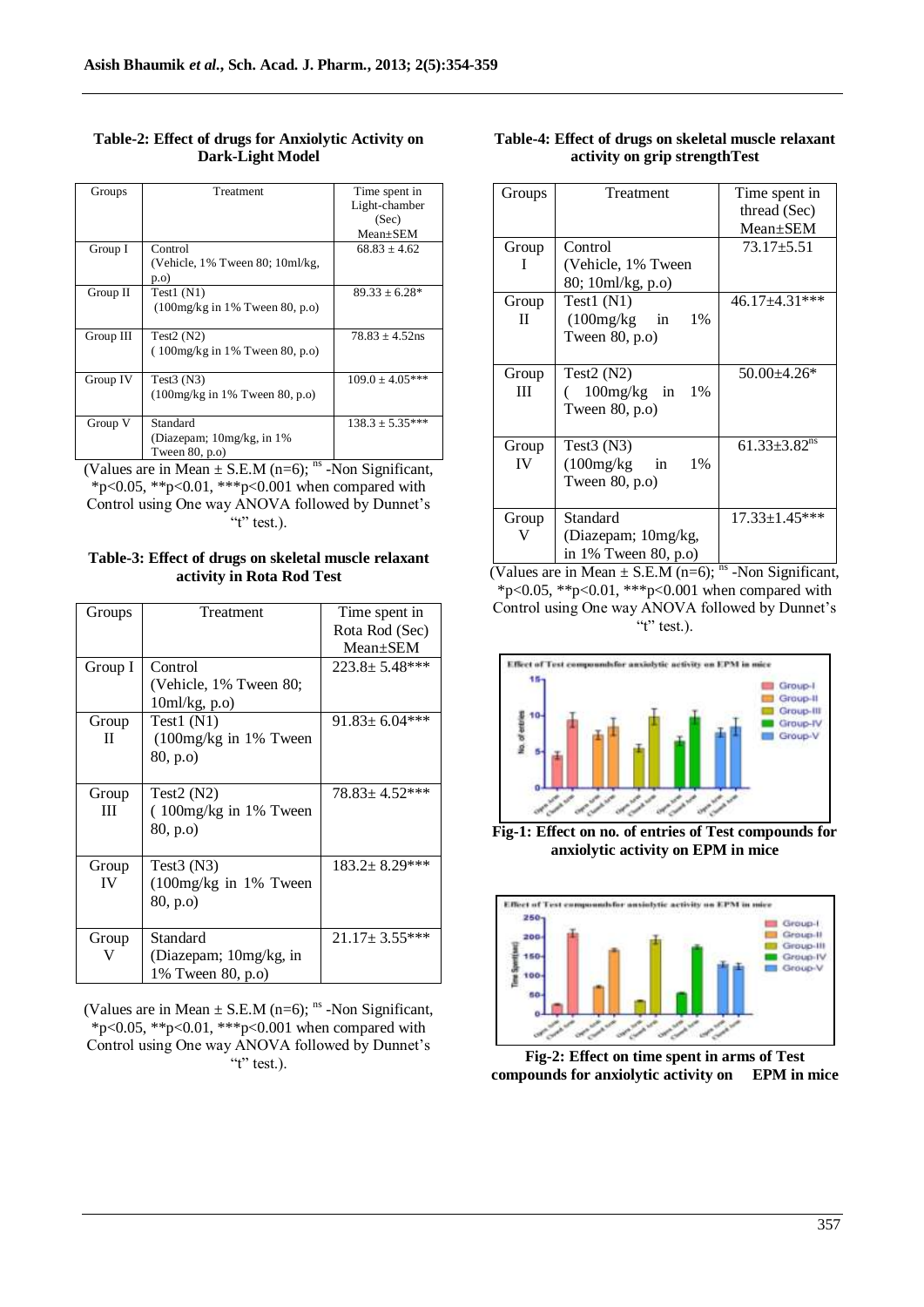| Groups    | Treatment                                                                 | Time spent in<br>Light-chamber<br>(Sec)<br>$Mean + SEM$ |
|-----------|---------------------------------------------------------------------------|---------------------------------------------------------|
| Group I   | Control<br>(Vehicle, $1\%$ Tween 80; $10$ ml/kg,<br>p.o                   | $68.83 + 4.62$                                          |
| Group II  | Test1(N1)<br>$(100mg/kg \text{ in } 1\% \text{ Tween } 80, \text{ p.o.})$ | $89.33 + 6.28*$                                         |
| Group III | Test $2(N2)$<br>$(100mg/kg)$ in 1% Tween 80, p.o.                         | $78.83 + 4.52$ ns                                       |
| Group IV  | Test $3(N3)$<br>$(100mg/kg \text{ in } 1\% \text{ Tween } 80, p.o)$       | $109.0 \pm 4.05***$                                     |
| Group V   | Standard<br>(Diazepam; 10mg/kg, in 1%)<br>Tween $80$ , p.o)               | $138.3 \pm 5.35***$                                     |

# **Table-2: Effect of drugs for Anxiolytic Activity on Dark-Light Model**

(Values are in Mean  $\pm$  S.E.M (n=6); <sup>ns</sup> -Non Significant, \*p<0.05, \*\*p<0.01, \*\*\*p<0.001 when compared with Control using One way ANOVA followed by Dunnet's "t" test.).

**Table-3: Effect of drugs on skeletal muscle relaxant activity in Rota Rod Test**

| Groups  | Treatment                | Time spent in        |
|---------|--------------------------|----------------------|
|         |                          | Rota Rod (Sec)       |
|         |                          | $Mean \pm SEM$       |
| Group I | Control                  | $223.8 \pm 5.48$ *** |
|         | (Vehicle, 1% Tween 80;   |                      |
|         | 10ml/kg, p.o)            |                      |
| Group   | Test $1(N1)$             | $91.83 \pm 6.04$ *** |
| П       | $(100mg/kg)$ in 1% Tween |                      |
|         | (80, p.o)                |                      |
|         |                          |                      |
| Group   | Test $2(N2)$             | $78.83 \pm 4.52$ *** |
| Ш       | (100mg/kg in 1% Tween)   |                      |
|         | (80, p.o)                |                      |
|         |                          |                      |
| Group   | Test $3$ (N $3$ )        | $183.2 \pm 8.29$ *** |
| IV      | $(100mg/kg)$ in 1% Tween |                      |
|         | 80, p.o)                 |                      |
|         |                          |                      |
| Group   | Standard                 | $21.17 \pm 3.55$ *** |
| V       | (Diazepam; 10mg/kg, in   |                      |
|         | 1% Tween 80, p.o)        |                      |

(Values are in Mean  $\pm$  S.E.M (n=6); <sup>ns</sup> -Non Significant, \*p<0.05, \*\*p<0.01, \*\*\*p<0.001 when compared with Control using One way ANOVA followed by Dunnet"s " $t$ " test.).

| Table-4: Effect of drugs on skeletal muscle relaxant |
|------------------------------------------------------|
| activity on grip strength Test                       |

| Groups                   | Treatment                 | Time spent in                  |
|--------------------------|---------------------------|--------------------------------|
|                          |                           | thread (Sec)                   |
|                          |                           | $Mean \pm SEM$                 |
| Group                    | Control                   | $73.17 \pm 5.51$               |
| I                        | (Vehicle, 1% Tween        |                                |
|                          | 80; 10ml/kg, p.o)         |                                |
| Group                    | Test $1(N1)$              | $46.17 \pm 4.31$ ***           |
| $_{\rm II}$              | (100mg/kg<br>$\sin$<br>1% |                                |
|                          | Tween $80$ , p.o)         |                                |
|                          |                           |                                |
| Group                    | Test $2(N2)$              | $50.00 + 4.26*$                |
| Ш                        | $100mg/kg$ in<br>1%       |                                |
|                          | Tween $80$ , p.o)         |                                |
|                          |                           |                                |
| Group                    | Test $3(N3)$              | $61.33 \pm 3.82$ <sup>ns</sup> |
| IV                       | (100mg/kg)<br>1%<br>in    |                                |
|                          | Tween $80$ , p.o)         |                                |
|                          |                           |                                |
| Group                    | Standard                  | $17.33 \pm 1.45***$            |
| V<br>(Diazepam; 10mg/kg, |                           |                                |
| in 1% Tween 80, p.o)     |                           |                                |

(Values are in Mean  $\pm$  S.E.M (n=6); <sup>ns</sup> -Non Significant, \*p<0.05, \*\*p<0.01, \*\*\*p<0.001 when compared with Control using One way ANOVA followed by Dunnet's " $t$ " test.).



**Fig-1: Effect on no. of entries of Test compounds for anxiolytic activity on EPM in mice**



**Fig-2: Effect on time spent in arms of Test compounds for anxiolytic activity on EPM in mice**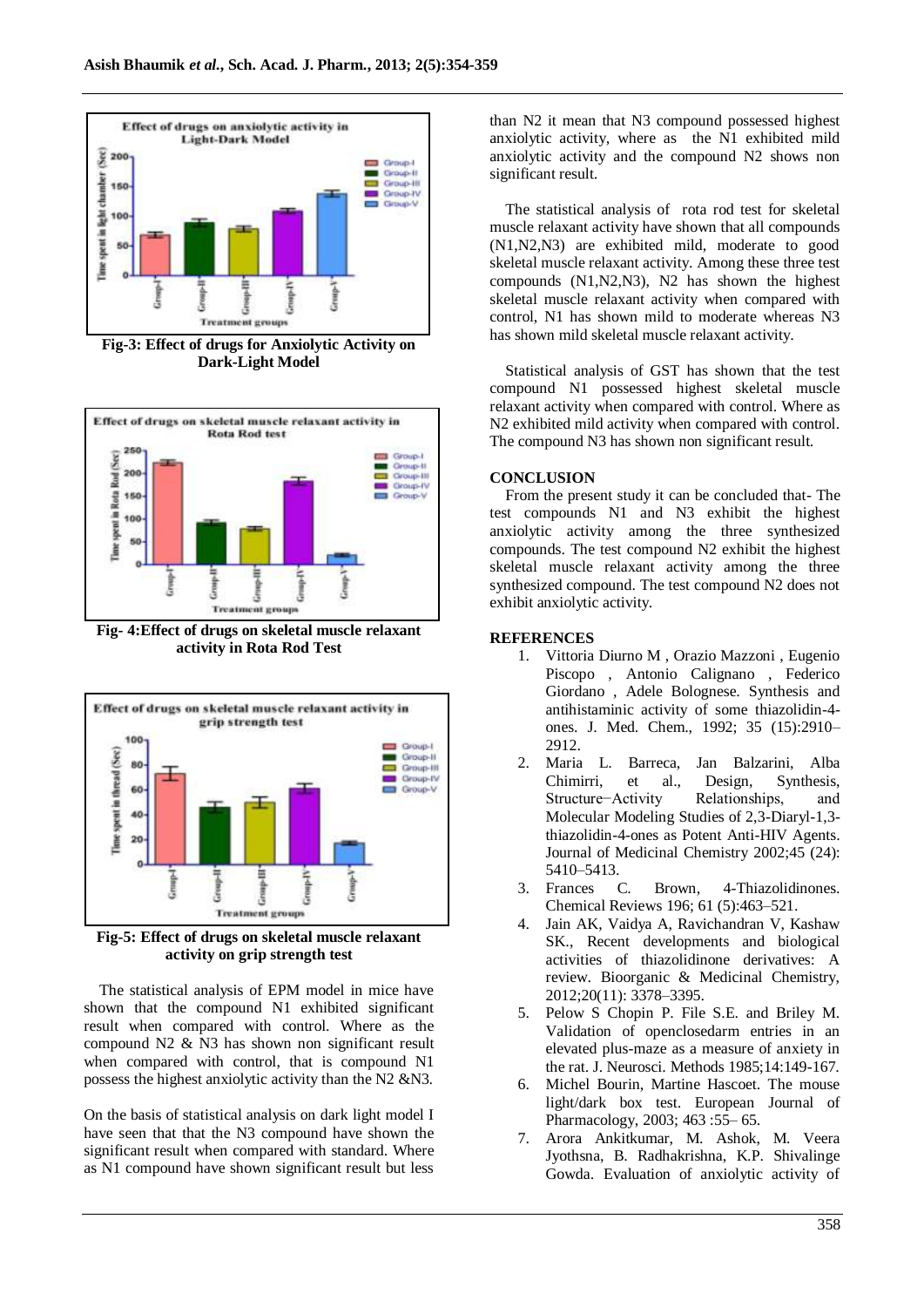

**Fig-3: Effect of drugs for Anxiolytic Activity on Dark-Light Model**



**Fig- 4:Effect of drugs on skeletal muscle relaxant activity in Rota Rod Test**



**Fig-5: Effect of drugs on skeletal muscle relaxant activity on grip strength test**

The statistical analysis of EPM model in mice have shown that the compound N1 exhibited significant result when compared with control. Where as the compound N2 & N3 has shown non significant result when compared with control, that is compound N1 possess the highest anxiolytic activity than the N2 &N3.

On the basis of statistical analysis on dark light model I have seen that that the N3 compound have shown the significant result when compared with standard. Where as N1 compound have shown significant result but less

than N2 it mean that N3 compound possessed highest anxiolytic activity, where as the N1 exhibited mild anxiolytic activity and the compound N2 shows non significant result.

The statistical analysis of rota rod test for skeletal muscle relaxant activity have shown that all compounds (N1,N2,N3) are exhibited mild, moderate to good skeletal muscle relaxant activity. Among these three test compounds (N1,N2,N3), N2 has shown the highest skeletal muscle relaxant activity when compared with control, N1 has shown mild to moderate whereas N3 has shown mild skeletal muscle relaxant activity.

Statistical analysis of GST has shown that the test compound N1 possessed highest skeletal muscle relaxant activity when compared with control. Where as N2 exhibited mild activity when compared with control. The compound N3 has shown non significant result.

#### **CONCLUSION**

From the present study it can be concluded that- The test compounds N1 and N3 exhibit the highest anxiolytic activity among the three synthesized compounds. The test compound N2 exhibit the highest skeletal muscle relaxant activity among the three synthesized compound. The test compound N2 does not exhibit anxiolytic activity.

## **REFERENCES**

- 1. Vittoria Diurno M , Orazio Mazzoni , Eugenio Piscopo , Antonio Calignano , Federico Giordano , Adele Bolognese. Synthesis and antihistaminic activity of some thiazolidin-4 ones. J. Med. Chem., 1992; 35 (15):2910– 2912.
- 2. Maria L. Barreca, Jan Balzarini, Alba Chimirri, et al., Design, Synthesis, Structure−Activity Relationships, and Molecular Modeling Studies of 2,3-Diaryl-1,3 thiazolidin-4-ones as Potent Anti-HIV Agents. Journal of Medicinal Chemistry 2002;45 (24): 5410–5413.
- 3. Frances C. Brown, 4-Thiazolidinones. Chemical Reviews 196; 61 (5):463–521.
- 4. Jain AK, Vaidya A, Ravichandran V, Kashaw SK., Recent developments and biological activities of thiazolidinone derivatives: A review. Bioorganic & Medicinal Chemistry, 2012;20(11): 3378–3395.
- 5. Pelow S Chopin P. File S.E. and Briley M. Validation of openclosedarm entries in an elevated plus-maze as a measure of anxiety in the rat. J. Neurosci. Methods 1985;14:149-167.
- 6. Michel Bourin, Martine Hascoet. The mouse light/dark box test. European Journal of Pharmacology, 2003; 463 :55– 65.
- 7. Arora Ankitkumar, M. Ashok, M. Veera Jyothsna, B. Radhakrishna, K.P. Shivalinge Gowda. Evaluation of anxiolytic activity of